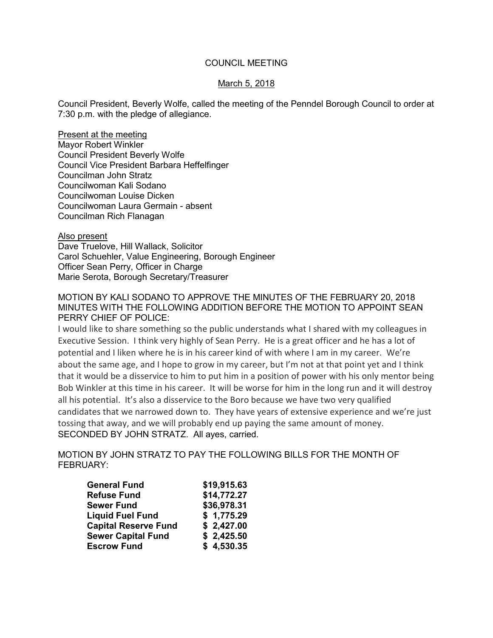## COUNCIL MEETING

### March 5, 2018

Council President, Beverly Wolfe, called the meeting of the Penndel Borough Council to order at 7:30 p.m. with the pledge of allegiance.

Present at the meeting Mayor Robert Winkler Council President Beverly Wolfe Council Vice President Barbara Heffelfinger Councilman John Stratz Councilwoman Kali Sodano Councilwoman Louise Dicken Councilwoman Laura Germain - absent Councilman Rich Flanagan

Also present

Dave Truelove, Hill Wallack, Solicitor Carol Schuehler, Value Engineering, Borough Engineer Officer Sean Perry, Officer in Charge Marie Serota, Borough Secretary/Treasurer

## MOTION BY KALI SODANO TO APPROVE THE MINUTES OF THE FEBRUARY 20, 2018 MINUTES WITH THE FOLLOWING ADDITION BEFORE THE MOTION TO APPOINT SEAN PERRY CHIEF OF POLICE:

I would like to share something so the public understands what I shared with my colleagues in Executive Session. I think very highly of Sean Perry. He is a great officer and he has a lot of potential and I liken where he is in his career kind of with where I am in my career. We're about the same age, and I hope to grow in my career, but I'm not at that point yet and I think that it would be a disservice to him to put him in a position of power with his only mentor being Bob Winkler at this time in his career. It will be worse for him in the long run and it will destroy all his potential. It's also a disservice to the Boro because we have two very qualified candidates that we narrowed down to. They have years of extensive experience and we're just tossing that away, and we will probably end up paying the same amount of money. SECONDED BY JOHN STRATZ. All ayes, carried.

MOTION BY JOHN STRATZ TO PAY THE FOLLOWING BILLS FOR THE MONTH OF FEBRUARY:

| <b>General Fund</b>         | \$19,915.63<br>\$14,772.27 |  |
|-----------------------------|----------------------------|--|
| <b>Refuse Fund</b>          |                            |  |
| <b>Sewer Fund</b>           | \$36,978.31                |  |
| <b>Liquid Fuel Fund</b>     | \$1,775.29                 |  |
| <b>Capital Reserve Fund</b> | \$2,427.00                 |  |
| <b>Sewer Capital Fund</b>   | \$2,425.50                 |  |
| <b>Escrow Fund</b>          | \$4,530.35                 |  |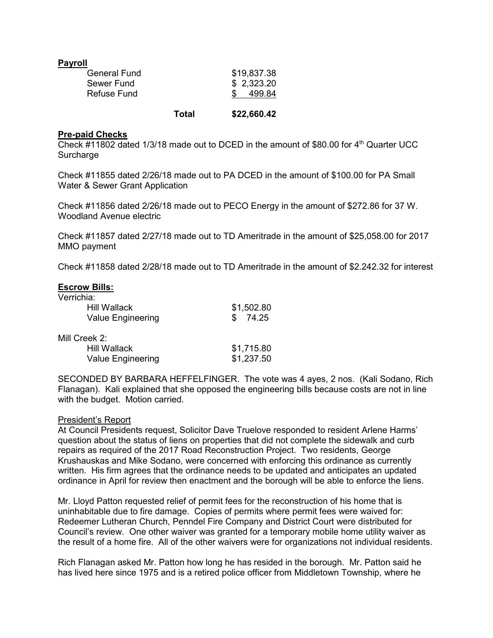| <b>Payroll</b> |             |
|----------------|-------------|
| General Fund   | \$19,837.38 |
| Sewer Fund     | \$2,323.20  |
| Refuse Fund    | 499.84      |
|                |             |

**Total \$22,660.42**

### **Pre-paid Checks**

Check #11802 dated 1/3/18 made out to DCED in the amount of \$80.00 for  $4<sup>th</sup>$  Quarter UCC **Surcharge** 

Check #11855 dated 2/26/18 made out to PA DCED in the amount of \$100.00 for PA Small Water & Sewer Grant Application

Check #11856 dated 2/26/18 made out to PECO Energy in the amount of \$272.86 for 37 W. Woodland Avenue electric

Check #11857 dated 2/27/18 made out to TD Ameritrade in the amount of \$25,058.00 for 2017 MMO payment

Check #11858 dated 2/28/18 made out to TD Ameritrade in the amount of \$2.242.32 for interest

| <b>Escrow Bills:</b>     |            |
|--------------------------|------------|
| Verrichia:               |            |
| <b>Hill Wallack</b>      | \$1,502.80 |
| <b>Value Engineering</b> | 74.25      |
| Mill Creek 2:            |            |
| <b>Hill Wallack</b>      | \$1,715.80 |
| Value Engineering        | \$1,237.50 |

SECONDED BY BARBARA HEFFELFINGER. The vote was 4 ayes, 2 nos. (Kali Sodano, Rich Flanagan). Kali explained that she opposed the engineering bills because costs are not in line with the budget. Motion carried.

### President's Report

At Council Presidents request, Solicitor Dave Truelove responded to resident Arlene Harms' question about the status of liens on properties that did not complete the sidewalk and curb repairs as required of the 2017 Road Reconstruction Project. Two residents, George Krushauskas and Mike Sodano, were concerned with enforcing this ordinance as currently written. His firm agrees that the ordinance needs to be updated and anticipates an updated ordinance in April for review then enactment and the borough will be able to enforce the liens.

Mr. Lloyd Patton requested relief of permit fees for the reconstruction of his home that is uninhabitable due to fire damage. Copies of permits where permit fees were waived for: Redeemer Lutheran Church, Penndel Fire Company and District Court were distributed for Council's review. One other waiver was granted for a temporary mobile home utility waiver as the result of a home fire. All of the other waivers were for organizations not individual residents.

Rich Flanagan asked Mr. Patton how long he has resided in the borough. Mr. Patton said he has lived here since 1975 and is a retired police officer from Middletown Township, where he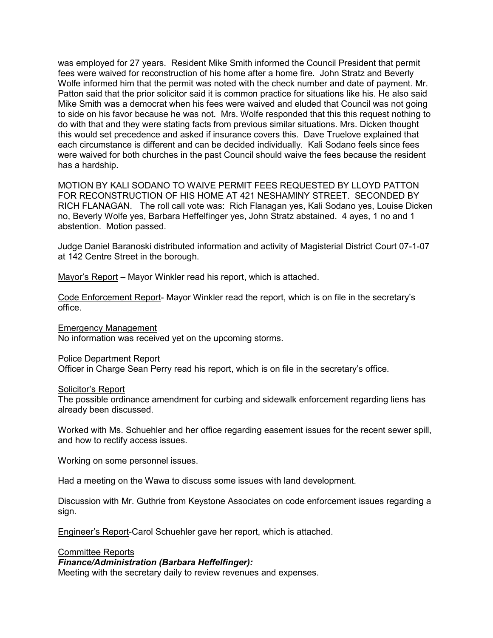was employed for 27 years. Resident Mike Smith informed the Council President that permit fees were waived for reconstruction of his home after a home fire. John Stratz and Beverly Wolfe informed him that the permit was noted with the check number and date of payment. Mr. Patton said that the prior solicitor said it is common practice for situations like his. He also said Mike Smith was a democrat when his fees were waived and eluded that Council was not going to side on his favor because he was not. Mrs. Wolfe responded that this this request nothing to do with that and they were stating facts from previous similar situations. Mrs. Dicken thought this would set precedence and asked if insurance covers this. Dave Truelove explained that each circumstance is different and can be decided individually. Kali Sodano feels since fees were waived for both churches in the past Council should waive the fees because the resident has a hardship.

MOTION BY KALI SODANO TO WAIVE PERMIT FEES REQUESTED BY LLOYD PATTON FOR RECONSTRUCTION OF HIS HOME AT 421 NESHAMINY STREET. SECONDED BY RICH FLANAGAN. The roll call vote was: Rich Flanagan yes, Kali Sodano yes, Louise Dicken no, Beverly Wolfe yes, Barbara Heffelfinger yes, John Stratz abstained. 4 ayes, 1 no and 1 abstention. Motion passed.

Judge Daniel Baranoski distributed information and activity of Magisterial District Court 07-1-07 at 142 Centre Street in the borough.

Mayor's Report – Mayor Winkler read his report, which is attached.

Code Enforcement Report- Mayor Winkler read the report, which is on file in the secretary's office.

Emergency Management

No information was received yet on the upcoming storms.

#### Police Department Report

Officer in Charge Sean Perry read his report, which is on file in the secretary's office.

#### Solicitor's Report

The possible ordinance amendment for curbing and sidewalk enforcement regarding liens has already been discussed.

Worked with Ms. Schuehler and her office regarding easement issues for the recent sewer spill, and how to rectify access issues.

Working on some personnel issues.

Had a meeting on the Wawa to discuss some issues with land development.

Discussion with Mr. Guthrie from Keystone Associates on code enforcement issues regarding a sign.

Engineer's Report-Carol Schuehler gave her report, which is attached.

### Committee Reports

#### *Finance/Administration (Barbara Heffelfinger):*

Meeting with the secretary daily to review revenues and expenses.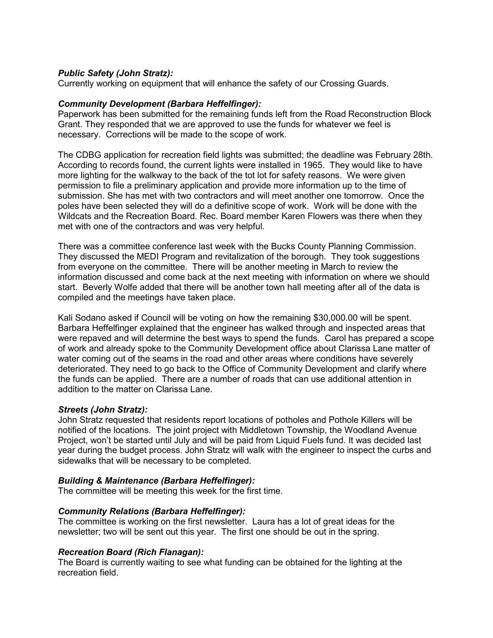# *Public Safety (John Stratz):*

Currently working on equipment that will enhance the safety of our Crossing Guards.

## *Community Development (Barbara Heffelfinger):*

Paperwork has been submitted for the remaining funds left from the Road Reconstruction Block Grant. They responded that we are approved to use the funds for whatever we feel is necessary. Corrections will be made to the scope of work.

The CDBG application for recreation field lights was submitted; the deadline was February 28th. According to records found, the current lights were installed in 1965. They would like to have more lighting for the walkway to the back of the tot lot for safety reasons. We were given permission to file a preliminary application and provide more information up to the time of submission. She has met with two contractors and will meet another one tomorrow. Once the poles have been selected they will do a definitive scope of work. Work will be done with the Wildcats and the Recreation Board. Rec. Board member Karen Flowers was there when they met with one of the contractors and was very helpful.

There was a committee conference last week with the Bucks County Planning Commission. They discussed the MEDI Program and revitalization of the borough. They took suggestions from everyone on the committee. There will be another meeting in March to review the information discussed and come back at the next meeting with information on where we should start. Beverly Wolfe added that there will be another town hall meeting after all of the data is compiled and the meetings have taken place.

Kali Sodano asked if Council will be voting on how the remaining \$30,000.00 will be spent. Barbara Heffelfinger explained that the engineer has walked through and inspected areas that were repaved and will determine the best ways to spend the funds. Carol has prepared a scope of work and already spoke to the Community Development office about Clarissa Lane matter of water coming out of the seams in the road and other areas where conditions have severely deteriorated. They need to go back to the Office of Community Development and clarify where the funds can be applied. There are a number of roads that can use additional attention in addition to the matter on Clarissa Lane.

# *Streets (John Stratz):*

John Stratz requested that residents report locations of potholes and Pothole Killers will be notified of the locations. The joint project with Middletown Township, the Woodland Avenue Project, won't be started until July and will be paid from Liquid Fuels fund. It was decided last year during the budget process. John Stratz will walk with the engineer to inspect the curbs and sidewalks that will be necessary to be completed.

# *Building & Maintenance (Barbara Heffelfinger):*

The committee will be meeting this week for the first time.

# *Community Relations (Barbara Heffelfinger):*

The committee is working on the first newsletter. Laura has a lot of great ideas for the newsletter; two will be sent out this year. The first one should be out in the spring.

# *Recreation Board (Rich Flanagan):*

The Board is currently waiting to see what funding can be obtained for the lighting at the recreation field.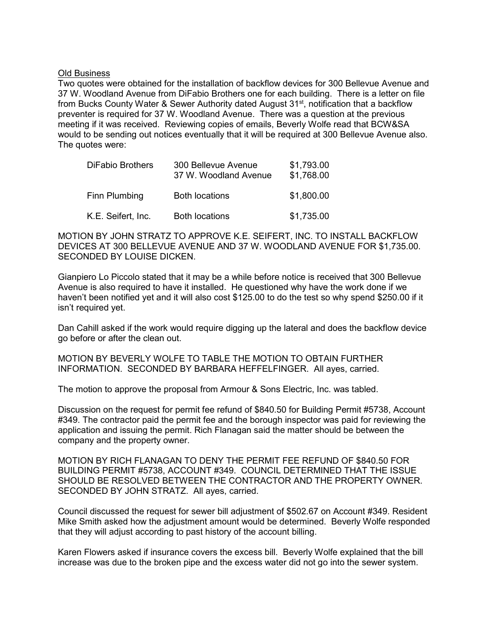#### Old Business

Two quotes were obtained for the installation of backflow devices for 300 Bellevue Avenue and 37 W. Woodland Avenue from DiFabio Brothers one for each building. There is a letter on file from Bucks County Water & Sewer Authority dated August 31<sup>st</sup>, notification that a backflow preventer is required for 37 W. Woodland Avenue. There was a question at the previous meeting if it was received. Reviewing copies of emails, Beverly Wolfe read that BCW&SA would to be sending out notices eventually that it will be required at 300 Bellevue Avenue also. The quotes were:

| <b>DiFabio Brothers</b> | 300 Bellevue Avenue<br>37 W. Woodland Avenue | \$1,793.00<br>\$1,768.00 |
|-------------------------|----------------------------------------------|--------------------------|
| Finn Plumbing           | <b>Both locations</b>                        | \$1,800.00               |
| K.E. Seifert, Inc.      | <b>Both locations</b>                        | \$1,735.00               |

MOTION BY JOHN STRATZ TO APPROVE K.E. SEIFERT, INC. TO INSTALL BACKFLOW DEVICES AT 300 BELLEVUE AVENUE AND 37 W. WOODLAND AVENUE FOR \$1,735.00. SECONDED BY LOUISE DICKEN.

Gianpiero Lo Piccolo stated that it may be a while before notice is received that 300 Bellevue Avenue is also required to have it installed. He questioned why have the work done if we haven't been notified yet and it will also cost \$125.00 to do the test so why spend \$250.00 if it isn't required yet.

Dan Cahill asked if the work would require digging up the lateral and does the backflow device go before or after the clean out.

MOTION BY BEVERLY WOLFE TO TABLE THE MOTION TO OBTAIN FURTHER INFORMATION. SECONDED BY BARBARA HEFFELFINGER. All ayes, carried.

The motion to approve the proposal from Armour & Sons Electric, Inc. was tabled.

Discussion on the request for permit fee refund of \$840.50 for Building Permit #5738, Account #349. The contractor paid the permit fee and the borough inspector was paid for reviewing the application and issuing the permit. Rich Flanagan said the matter should be between the company and the property owner.

MOTION BY RICH FLANAGAN TO DENY THE PERMIT FEE REFUND OF \$840.50 FOR BUILDING PERMIT #5738, ACCOUNT #349. COUNCIL DETERMINED THAT THE ISSUE SHOULD BE RESOLVED BETWEEN THE CONTRACTOR AND THE PROPERTY OWNER. SECONDED BY JOHN STRATZ. All ayes, carried.

Council discussed the request for sewer bill adjustment of \$502.67 on Account #349. Resident Mike Smith asked how the adjustment amount would be determined. Beverly Wolfe responded that they will adjust according to past history of the account billing.

Karen Flowers asked if insurance covers the excess bill. Beverly Wolfe explained that the bill increase was due to the broken pipe and the excess water did not go into the sewer system.